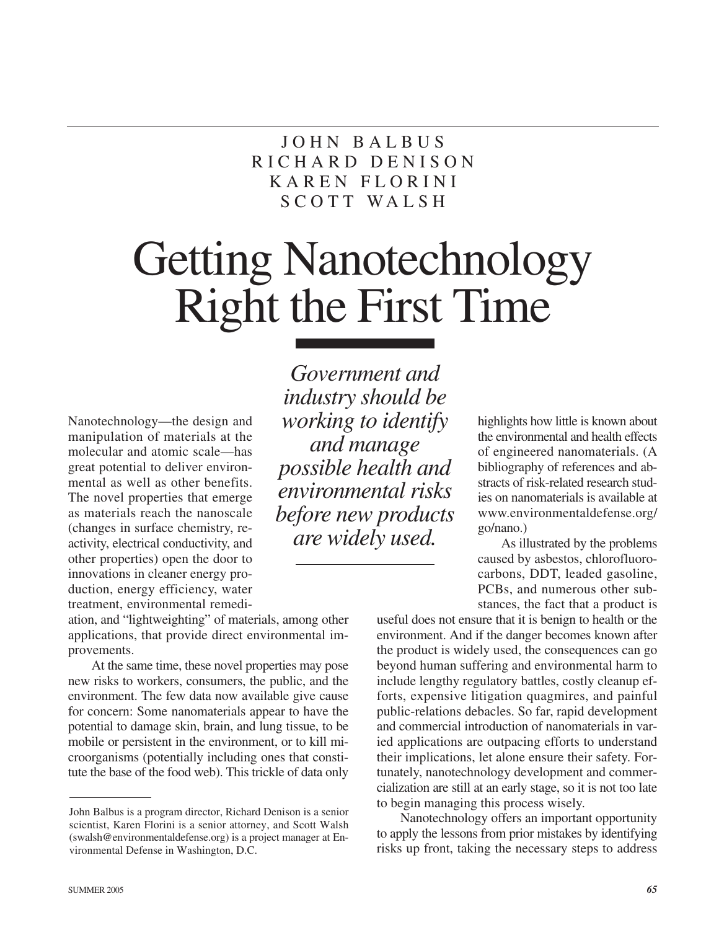## JOHN BALBUS RICHARD DENISON KAREN FLORINI SCOTT WALSH

## Getting Nanotechnology Right the First Time

Nanotechnology—the design and manipulation of materials at the molecular and atomic scale—has great potential to deliver environmental as well as other benefits. The novel properties that emerge as materials reach the nanoscale (changes in surface chemistry, reactivity, electrical conductivity, and other properties) open the door to innovations in cleaner energy production, energy efficiency, water treatment, environmental remedi-

*Government and industry should be working to identify and manage possible health and environmental risks before new products are widely used.*

highlights how little is known about the environmental and health effects of engineered nanomaterials. (A bibliography of references and abstracts of risk-related research studies on nanomaterials is available at www.environmentaldefense.org/ go/nano.)

As illustrated by the problems caused by asbestos, chlorofluorocarbons, DDT, leaded gasoline, PCBs, and numerous other substances, the fact that a product is

ation, and "lightweighting" of materials, among other applications, that provide direct environmental improvements.

At the same time, these novel properties may pose new risks to workers, consumers, the public, and the environment. The few data now available give cause for concern: Some nanomaterials appear to have the potential to damage skin, brain, and lung tissue, to be mobile or persistent in the environment, or to kill microorganisms (potentially including ones that constitute the base of the food web). This trickle of data only

useful does not ensure that it is benign to health or the environment. And if the danger becomes known after the product is widely used, the consequences can go beyond human suffering and environmental harm to include lengthy regulatory battles, costly cleanup efforts, expensive litigation quagmires, and painful public-relations debacles. So far, rapid development and commercial introduction of nanomaterials in varied applications are outpacing efforts to understand their implications, let alone ensure their safety. Fortunately, nanotechnology development and commercialization are still at an early stage, so it is not too late to begin managing this process wisely.

Nanotechnology offers an important opportunity to apply the lessons from prior mistakes by identifying risks up front, taking the necessary steps to address

John Balbus is a program director, Richard Denison is a senior scientist, Karen Florini is a senior attorney, and Scott Walsh (swalsh@environmentaldefense.org) is a project manager at Environmental Defense in Washington, D.C.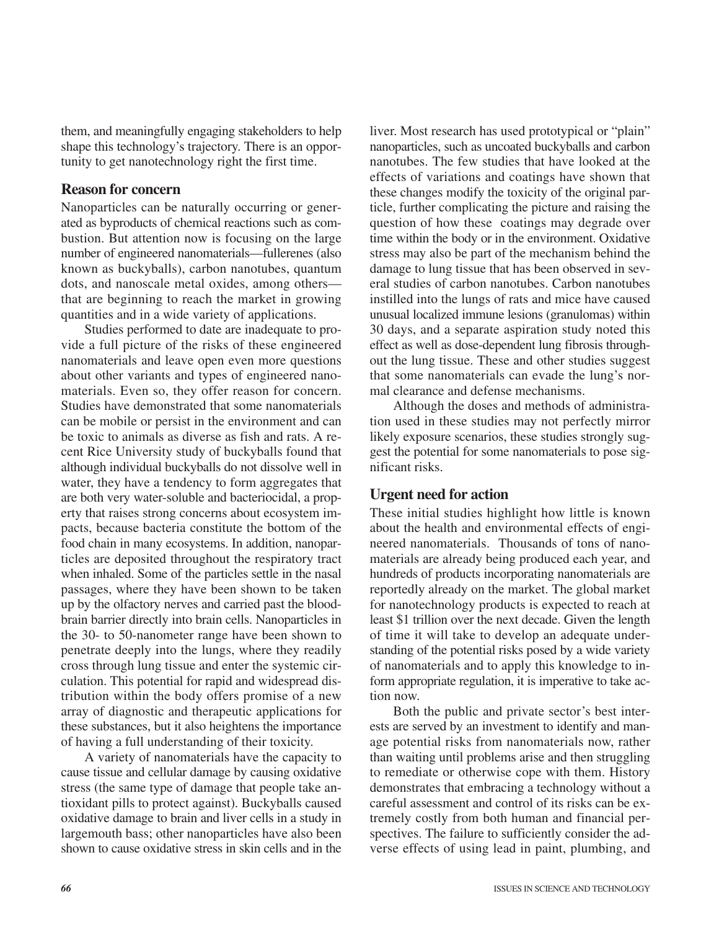them, and meaningfully engaging stakeholders to help shape this technology's trajectory. There is an opportunity to get nanotechnology right the first time.

## **Reason for concern**

Nanoparticles can be naturally occurring or generated as byproducts of chemical reactions such as combustion. But attention now is focusing on the large number of engineered nanomaterials—fullerenes (also known as buckyballs), carbon nanotubes, quantum dots, and nanoscale metal oxides, among others that are beginning to reach the market in growing quantities and in a wide variety of applications.

Studies performed to date are inadequate to provide a full picture of the risks of these engineered nanomaterials and leave open even more questions about other variants and types of engineered nanomaterials. Even so, they offer reason for concern. Studies have demonstrated that some nanomaterials can be mobile or persist in the environment and can be toxic to animals as diverse as fish and rats. A recent Rice University study of buckyballs found that although individual buckyballs do not dissolve well in water, they have a tendency to form aggregates that are both very water-soluble and bacteriocidal, a property that raises strong concerns about ecosystem impacts, because bacteria constitute the bottom of the food chain in many ecosystems. In addition, nanoparticles are deposited throughout the respiratory tract when inhaled. Some of the particles settle in the nasal passages, where they have been shown to be taken up by the olfactory nerves and carried past the bloodbrain barrier directly into brain cells. Nanoparticles in the 30- to 50-nanometer range have been shown to penetrate deeply into the lungs, where they readily cross through lung tissue and enter the systemic circulation. This potential for rapid and widespread distribution within the body offers promise of a new array of diagnostic and therapeutic applications for these substances, but it also heightens the importance of having a full understanding of their toxicity.

A variety of nanomaterials have the capacity to cause tissue and cellular damage by causing oxidative stress (the same type of damage that people take antioxidant pills to protect against). Buckyballs caused oxidative damage to brain and liver cells in a study in largemouth bass; other nanoparticles have also been shown to cause oxidative stress in skin cells and in the

liver. Most research has used prototypical or "plain" nanoparticles, such as uncoated buckyballs and carbon nanotubes. The few studies that have looked at the effects of variations and coatings have shown that these changes modify the toxicity of the original particle, further complicating the picture and raising the question of how these coatings may degrade over time within the body or in the environment. Oxidative stress may also be part of the mechanism behind the damage to lung tissue that has been observed in several studies of carbon nanotubes. Carbon nanotubes instilled into the lungs of rats and mice have caused unusual localized immune lesions (granulomas) within 30 days, and a separate aspiration study noted this effect as well as dose-dependent lung fibrosis throughout the lung tissue. These and other studies suggest that some nanomaterials can evade the lung's normal clearance and defense mechanisms.

Although the doses and methods of administration used in these studies may not perfectly mirror likely exposure scenarios, these studies strongly suggest the potential for some nanomaterials to pose significant risks.

## **Urgent need for action**

These initial studies highlight how little is known about the health and environmental effects of engineered nanomaterials. Thousands of tons of nanomaterials are already being produced each year, and hundreds of products incorporating nanomaterials are reportedly already on the market. The global market for nanotechnology products is expected to reach at least \$1 trillion over the next decade. Given the length of time it will take to develop an adequate understanding of the potential risks posed by a wide variety of nanomaterials and to apply this knowledge to inform appropriate regulation, it is imperative to take action now.

Both the public and private sector's best interests are served by an investment to identify and manage potential risks from nanomaterials now, rather than waiting until problems arise and then struggling to remediate or otherwise cope with them. History demonstrates that embracing a technology without a careful assessment and control of its risks can be extremely costly from both human and financial perspectives. The failure to sufficiently consider the adverse effects of using lead in paint, plumbing, and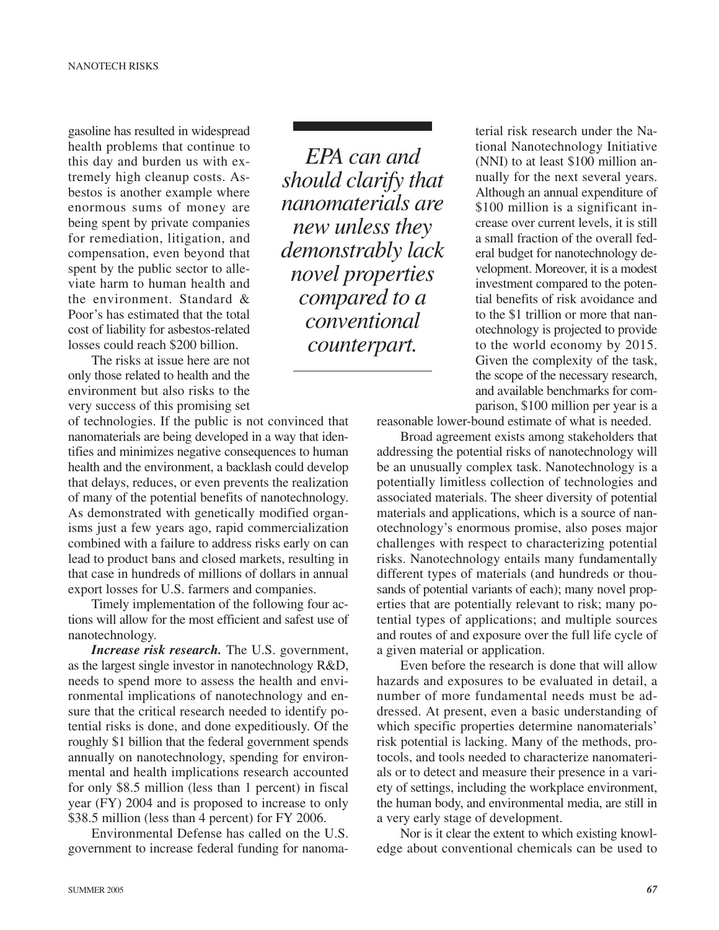gasoline has resulted in widespread health problems that continue to this day and burden us with extremely high cleanup costs. Asbestos is another example where enormous sums of money are being spent by private companies for remediation, litigation, and compensation, even beyond that spent by the public sector to alleviate harm to human health and the environment. Standard & Poor's has estimated that the total cost of liability for asbestos-related losses could reach \$200 billion.

The risks at issue here are not only those related to health and the environment but also risks to the very success of this promising set

of technologies. If the public is not convinced that nanomaterials are being developed in a way that identifies and minimizes negative consequences to human health and the environment, a backlash could develop that delays, reduces, or even prevents the realization of many of the potential benefits of nanotechnology. As demonstrated with genetically modified organisms just a few years ago, rapid commercialization combined with a failure to address risks early on can lead to product bans and closed markets, resulting in that case in hundreds of millions of dollars in annual export losses for U.S. farmers and companies.

Timely implementation of the following four actions will allow for the most efficient and safest use of nanotechnology.

*Increase risk research.* The U.S. government, as the largest single investor in nanotechnology R&D, needs to spend more to assess the health and environmental implications of nanotechnology and ensure that the critical research needed to identify potential risks is done, and done expeditiously. Of the roughly \$1 billion that the federal government spends annually on nanotechnology, spending for environmental and health implications research accounted for only \$8.5 million (less than 1 percent) in fiscal year (FY) 2004 and is proposed to increase to only \$38.5 million (less than 4 percent) for FY 2006.

Environmental Defense has called on the U.S. government to increase federal funding for nanoma-

*EPA can and should clarify that nanomaterials are new unless they demonstrably lack novel properties compared to a conventional counterpart.*

terial risk research under the National Nanotechnology Initiative (NNI) to at least \$100 million annually for the next several years. Although an annual expenditure of \$100 million is a significant increase over current levels, it is still a small fraction of the overall federal budget for nanotechnology development. Moreover, it is a modest investment compared to the potential benefits of risk avoidance and to the \$1 trillion or more that nanotechnology is projected to provide to the world economy by 2015. Given the complexity of the task, the scope of the necessary research, and available benchmarks for comparison, \$100 million per year is a

reasonable lower-bound estimate of what is needed.

Broad agreement exists among stakeholders that addressing the potential risks of nanotechnology will be an unusually complex task. Nanotechnology is a potentially limitless collection of technologies and associated materials. The sheer diversity of potential materials and applications, which is a source of nanotechnology's enormous promise, also poses major challenges with respect to characterizing potential risks. Nanotechnology entails many fundamentally different types of materials (and hundreds or thousands of potential variants of each); many novel properties that are potentially relevant to risk; many potential types of applications; and multiple sources and routes of and exposure over the full life cycle of a given material or application.

Even before the research is done that will allow hazards and exposures to be evaluated in detail, a number of more fundamental needs must be addressed. At present, even a basic understanding of which specific properties determine nanomaterials' risk potential is lacking. Many of the methods, protocols, and tools needed to characterize nanomaterials or to detect and measure their presence in a variety of settings, including the workplace environment, the human body, and environmental media, are still in a very early stage of development.

Nor is it clear the extent to which existing knowledge about conventional chemicals can be used to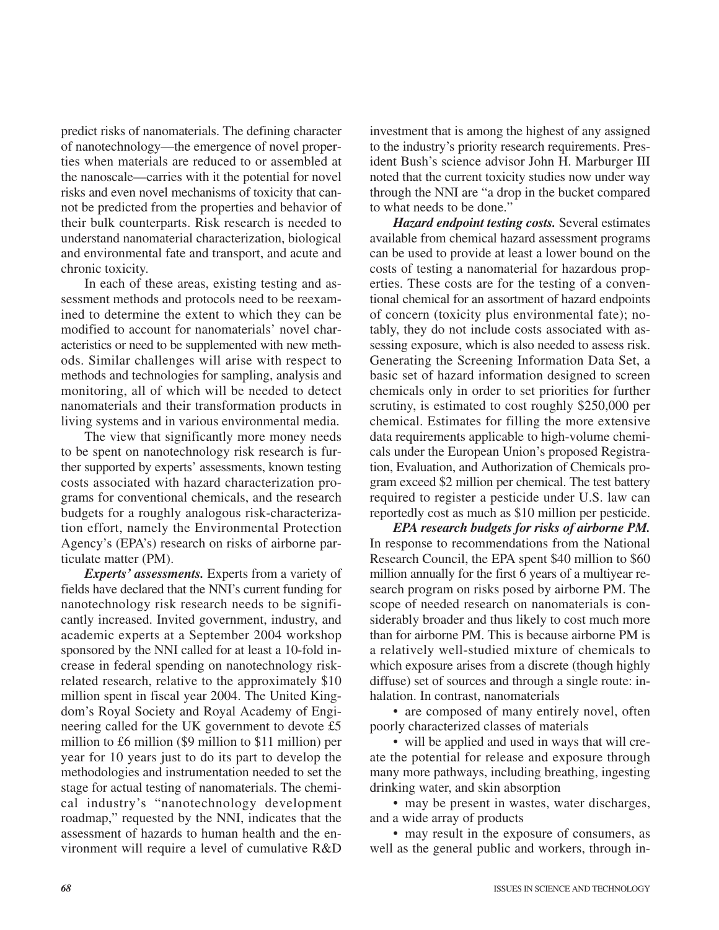predict risks of nanomaterials. The defining character of nanotechnology—the emergence of novel properties when materials are reduced to or assembled at the nanoscale—carries with it the potential for novel risks and even novel mechanisms of toxicity that cannot be predicted from the properties and behavior of their bulk counterparts. Risk research is needed to understand nanomaterial characterization, biological and environmental fate and transport, and acute and chronic toxicity.

In each of these areas, existing testing and assessment methods and protocols need to be reexamined to determine the extent to which they can be modified to account for nanomaterials' novel characteristics or need to be supplemented with new methods. Similar challenges will arise with respect to methods and technologies for sampling, analysis and monitoring, all of which will be needed to detect nanomaterials and their transformation products in living systems and in various environmental media.

The view that significantly more money needs to be spent on nanotechnology risk research is further supported by experts' assessments, known testing costs associated with hazard characterization programs for conventional chemicals, and the research budgets for a roughly analogous risk-characterization effort, namely the Environmental Protection Agency's (EPA's) research on risks of airborne particulate matter (PM).

*Experts' assessments.* Experts from a variety of fields have declared that the NNI's current funding for nanotechnology risk research needs to be significantly increased. Invited government, industry, and academic experts at a September 2004 workshop sponsored by the NNI called for at least a 10-fold increase in federal spending on nanotechnology riskrelated research, relative to the approximately \$10 million spent in fiscal year 2004. The United Kingdom's Royal Society and Royal Academy of Engineering called for the UK government to devote £5 million to £6 million (\$9 million to \$11 million) per year for 10 years just to do its part to develop the methodologies and instrumentation needed to set the stage for actual testing of nanomaterials. The chemical industry's "nanotechnology development roadmap," requested by the NNI, indicates that the assessment of hazards to human health and the environment will require a level of cumulative R&D

investment that is among the highest of any assigned to the industry's priority research requirements. President Bush's science advisor John H. Marburger III noted that the current toxicity studies now under way through the NNI are "a drop in the bucket compared to what needs to be done."

*Hazard endpoint testing costs.* Several estimates available from chemical hazard assessment programs can be used to provide at least a lower bound on the costs of testing a nanomaterial for hazardous properties. These costs are for the testing of a conventional chemical for an assortment of hazard endpoints of concern (toxicity plus environmental fate); notably, they do not include costs associated with assessing exposure, which is also needed to assess risk. Generating the Screening Information Data Set, a basic set of hazard information designed to screen chemicals only in order to set priorities for further scrutiny, is estimated to cost roughly \$250,000 per chemical. Estimates for filling the more extensive data requirements applicable to high-volume chemicals under the European Union's proposed Registration, Evaluation, and Authorization of Chemicals program exceed \$2 million per chemical. The test battery required to register a pesticide under U.S. law can reportedly cost as much as \$10 million per pesticide.

*EPA research budgets for risks of airborne PM.* In response to recommendations from the National Research Council, the EPA spent \$40 million to \$60 million annually for the first 6 years of a multiyear research program on risks posed by airborne PM. The scope of needed research on nanomaterials is considerably broader and thus likely to cost much more than for airborne PM. This is because airborne PM is a relatively well-studied mixture of chemicals to which exposure arises from a discrete (though highly diffuse) set of sources and through a single route: inhalation. In contrast, nanomaterials

• are composed of many entirely novel, often poorly characterized classes of materials

• will be applied and used in ways that will create the potential for release and exposure through many more pathways, including breathing, ingesting drinking water, and skin absorption

• may be present in wastes, water discharges, and a wide array of products

• may result in the exposure of consumers, as well as the general public and workers, through in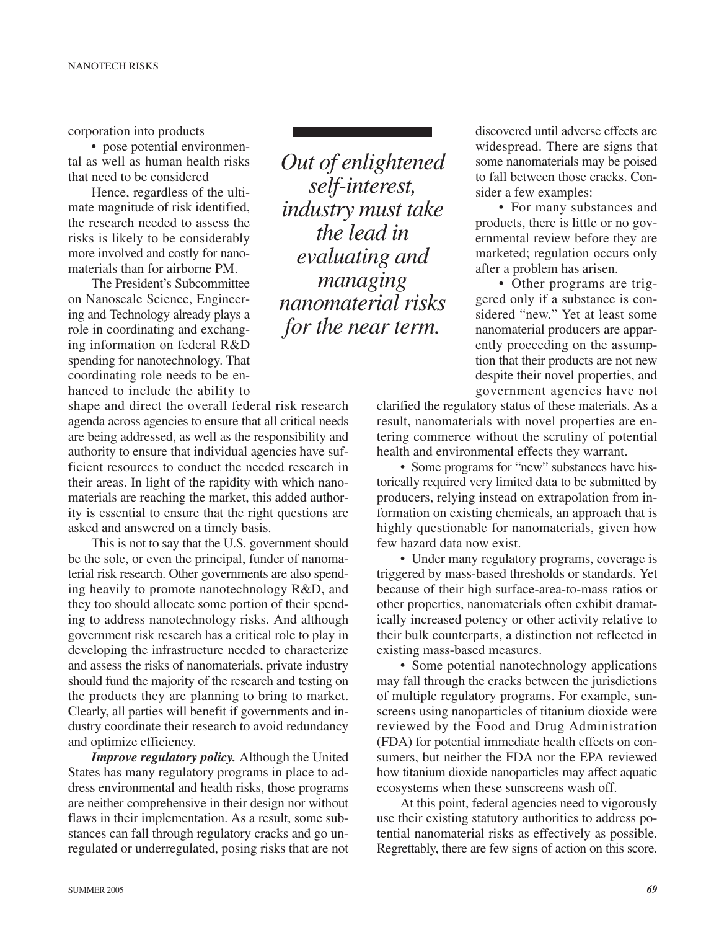corporation into products

• pose potential environmental as well as human health risks that need to be considered

Hence, regardless of the ultimate magnitude of risk identified, the research needed to assess the risks is likely to be considerably more involved and costly for nanomaterials than for airborne PM.

The President's Subcommittee on Nanoscale Science, Engineering and Technology already plays a role in coordinating and exchanging information on federal R&D spending for nanotechnology. That coordinating role needs to be enhanced to include the ability to

shape and direct the overall federal risk research agenda across agencies to ensure that all critical needs are being addressed, as well as the responsibility and authority to ensure that individual agencies have sufficient resources to conduct the needed research in their areas. In light of the rapidity with which nanomaterials are reaching the market, this added authority is essential to ensure that the right questions are asked and answered on a timely basis.

This is not to say that the U.S. government should be the sole, or even the principal, funder of nanomaterial risk research. Other governments are also spending heavily to promote nanotechnology R&D, and they too should allocate some portion of their spending to address nanotechnology risks. And although government risk research has a critical role to play in developing the infrastructure needed to characterize and assess the risks of nanomaterials, private industry should fund the majority of the research and testing on the products they are planning to bring to market. Clearly, all parties will benefit if governments and industry coordinate their research to avoid redundancy and optimize efficiency.

*Improve regulatory policy.* Although the United States has many regulatory programs in place to address environmental and health risks, those programs are neither comprehensive in their design nor without flaws in their implementation. As a result, some substances can fall through regulatory cracks and go unregulated or underregulated, posing risks that are not

*Out of enlightened self-interest, industry must take the lead in evaluating and managing nanomaterial risks for the near term.*

discovered until adverse effects are widespread. There are signs that some nanomaterials may be poised to fall between those cracks. Consider a few examples:

• For many substances and products, there is little or no governmental review before they are marketed; regulation occurs only after a problem has arisen.

• Other programs are triggered only if a substance is considered "new." Yet at least some nanomaterial producers are apparently proceeding on the assumption that their products are not new despite their novel properties, and government agencies have not

clarified the regulatory status of these materials. As a result, nanomaterials with novel properties are entering commerce without the scrutiny of potential health and environmental effects they warrant.

• Some programs for "new" substances have historically required very limited data to be submitted by producers, relying instead on extrapolation from information on existing chemicals, an approach that is highly questionable for nanomaterials, given how few hazard data now exist.

• Under many regulatory programs, coverage is triggered by mass-based thresholds or standards. Yet because of their high surface-area-to-mass ratios or other properties, nanomaterials often exhibit dramatically increased potency or other activity relative to their bulk counterparts, a distinction not reflected in existing mass-based measures.

• Some potential nanotechnology applications may fall through the cracks between the jurisdictions of multiple regulatory programs. For example, sunscreens using nanoparticles of titanium dioxide were reviewed by the Food and Drug Administration (FDA) for potential immediate health effects on consumers, but neither the FDA nor the EPA reviewed how titanium dioxide nanoparticles may affect aquatic ecosystems when these sunscreens wash off.

At this point, federal agencies need to vigorously use their existing statutory authorities to address potential nanomaterial risks as effectively as possible. Regrettably, there are few signs of action on this score.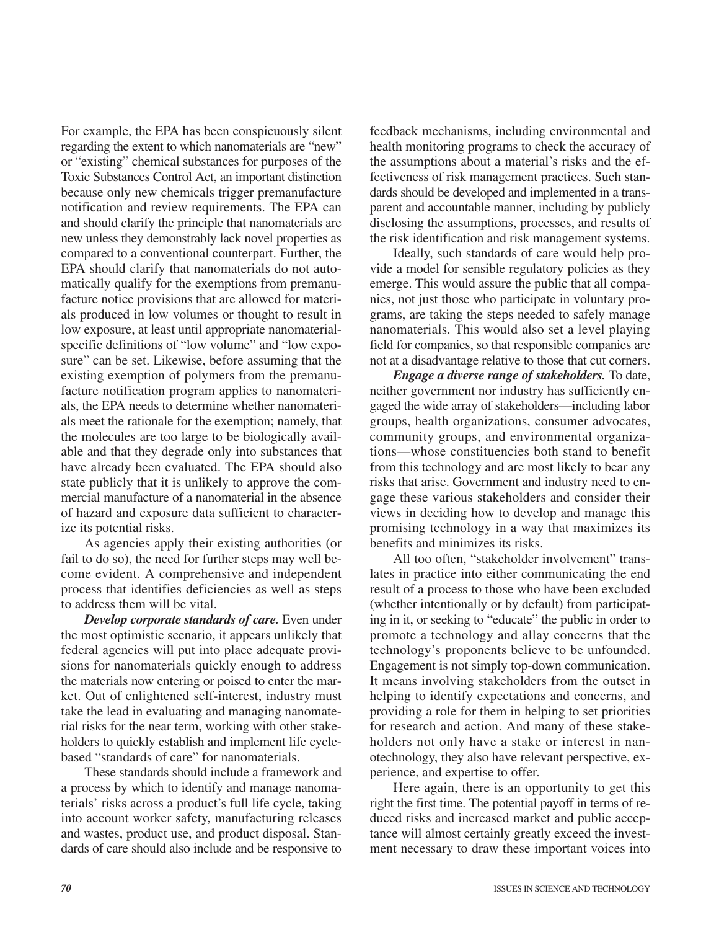For example, the EPA has been conspicuously silent regarding the extent to which nanomaterials are "new" or "existing" chemical substances for purposes of the Toxic Substances Control Act, an important distinction because only new chemicals trigger premanufacture notification and review requirements. The EPA can and should clarify the principle that nanomaterials are new unless they demonstrably lack novel properties as compared to a conventional counterpart. Further, the EPA should clarify that nanomaterials do not automatically qualify for the exemptions from premanufacture notice provisions that are allowed for materials produced in low volumes or thought to result in low exposure, at least until appropriate nanomaterialspecific definitions of "low volume" and "low exposure" can be set. Likewise, before assuming that the existing exemption of polymers from the premanufacture notification program applies to nanomaterials, the EPA needs to determine whether nanomaterials meet the rationale for the exemption; namely, that the molecules are too large to be biologically available and that they degrade only into substances that have already been evaluated. The EPA should also state publicly that it is unlikely to approve the commercial manufacture of a nanomaterial in the absence of hazard and exposure data sufficient to characterize its potential risks.

As agencies apply their existing authorities (or fail to do so), the need for further steps may well become evident. A comprehensive and independent process that identifies deficiencies as well as steps to address them will be vital.

*Develop corporate standards of care.* Even under the most optimistic scenario, it appears unlikely that federal agencies will put into place adequate provisions for nanomaterials quickly enough to address the materials now entering or poised to enter the market. Out of enlightened self-interest, industry must take the lead in evaluating and managing nanomaterial risks for the near term, working with other stakeholders to quickly establish and implement life cyclebased "standards of care" for nanomaterials.

These standards should include a framework and a process by which to identify and manage nanomaterials' risks across a product's full life cycle, taking into account worker safety, manufacturing releases and wastes, product use, and product disposal. Standards of care should also include and be responsive to

feedback mechanisms, including environmental and health monitoring programs to check the accuracy of the assumptions about a material's risks and the effectiveness of risk management practices. Such standards should be developed and implemented in a transparent and accountable manner, including by publicly disclosing the assumptions, processes, and results of the risk identification and risk management systems.

Ideally, such standards of care would help provide a model for sensible regulatory policies as they emerge. This would assure the public that all companies, not just those who participate in voluntary programs, are taking the steps needed to safely manage nanomaterials. This would also set a level playing field for companies, so that responsible companies are not at a disadvantage relative to those that cut corners.

*Engage a diverse range of stakeholders.* To date, neither government nor industry has sufficiently engaged the wide array of stakeholders—including labor groups, health organizations, consumer advocates, community groups, and environmental organizations—whose constituencies both stand to benefit from this technology and are most likely to bear any risks that arise. Government and industry need to engage these various stakeholders and consider their views in deciding how to develop and manage this promising technology in a way that maximizes its benefits and minimizes its risks.

All too often, "stakeholder involvement" translates in practice into either communicating the end result of a process to those who have been excluded (whether intentionally or by default) from participating in it, or seeking to "educate" the public in order to promote a technology and allay concerns that the technology's proponents believe to be unfounded. Engagement is not simply top-down communication. It means involving stakeholders from the outset in helping to identify expectations and concerns, and providing a role for them in helping to set priorities for research and action. And many of these stakeholders not only have a stake or interest in nanotechnology, they also have relevant perspective, experience, and expertise to offer.

Here again, there is an opportunity to get this right the first time. The potential payoff in terms of reduced risks and increased market and public acceptance will almost certainly greatly exceed the investment necessary to draw these important voices into